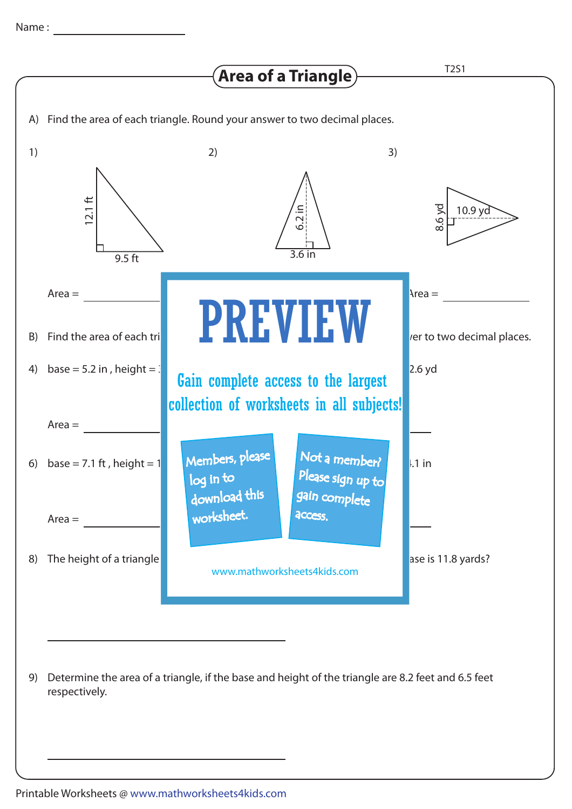

9) Determine the area of a triangle, if the base and height of the triangle are 8.2 feet and 6.5 feet respectively.